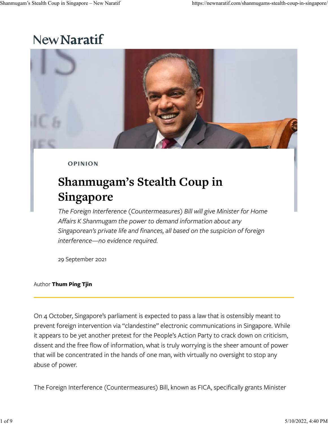## New Naratif



**OPINION** 

# **Shanmugam's Stealth Coup in Singapore**

*The Foreign Interference (Countermeasures) Bill will give Minister for Home A�airs K Shanmugam the power to demand information about any Singaporean's private life and �nances, all based on the suspicion of foreign interference—no evidence required.*

29 September 2021

#### Author **Thum Ping Tjin**

On 4 October, Singapore's parliament is expected to pass a law that is ostensibly meant to prevent foreign intervention via "clandestine" electronic communications in Singapore. While it appears to be yet another pretext for the People's Action Party to crack down on criticism, dissent and the free flow of information, what is truly worrying is the sheer amount of power that will be concentrated in the hands of one man, with virtually no oversight to stop any abuse of power.

The Foreign Interference (Countermeasures) Bill, known as FICA, speci�cally grants Minister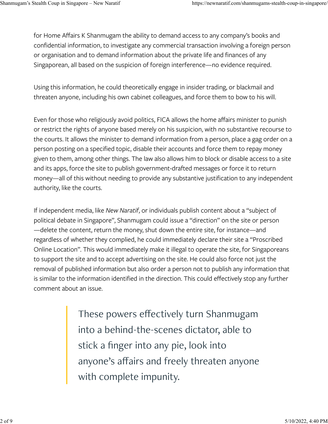for Home Affairs K Shanmugam the ability to demand access to any company's books and confidential information, to investigate any commercial transaction involving a foreign person or organisation and to demand information about the private life and finances of any Singaporean, all based on the suspicion of foreign interference—no evidence required.

Using this information, he could theoretically engage in insider trading, or blackmail and threaten anyone, including his own cabinet colleagues, and force them to bow to his will.

Even for those who religiously avoid politics, FICA allows the home affairs minister to punish or restrict the rights of anyone based merely on his suspicion, with no substantive recourse to the courts. It allows the minister to demand information from a person, place a gag order on a person posting on a specified topic, disable their accounts and force them to repay money given to them, among other things. The law also allows him to block or disable access to a site and its apps, force the site to publish government-drafted messages or force it to return money—all of this without needing to provide any substantive justification to any independent authority, like the courts.

If independent media, like *New Naratif*, or individuals publish content about a "subject of political debate in Singapore", Shanmugam could issue a "direction" on the site or person —delete the content, return the money, shut down the entire site, for instance—and regardless of whether they complied, he could immediately declare their site a "Proscribed Online Location". This would immediately make it illegal to operate the site, for Singaporeans to support the site and to accept advertising on the site. He could also force not just the removal of published information but also order a person not to publish any information that is similar to the information identified in the direction. This could effectively stop any further comment about an issue.

> These powers effectively turn Shanmugam into a behind-the-scenes dictator, able to stick a finger into any pie, look into anyone's affairs and freely threaten anyone with complete impunity.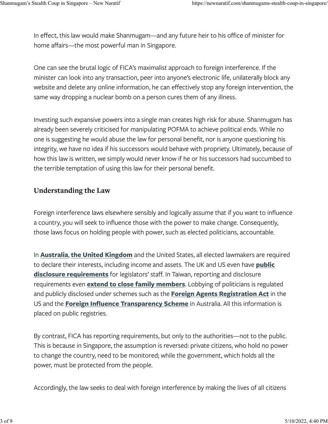In effect, this law would make Shanmugam—and any future heir to his office of minister for home affairs—the most powerful man in Singapore.

One can see the brutal logic of FICA's maximalist approach to foreign interference. If the minister can look into any transaction, peer into anyone's electronic life, unilaterally block any website and delete any online information, he can effectively stop any foreign intervention, the same way dropping a nuclear bomb on a person cures them of any illness.

Investing such expansive powers into a single man creates high risk for abuse. Shanmugam has already been severely criticised for manipulating POFMA to achieve political ends. While no one is suggesting he would abuse the law for personal benefit, nor is anyone questioning his integrity, we have no idea if his successors would behave with propriety. Ultimately, because of how this law is written, we simply would never know if he or his successors had succumbed to the terrible temptation of using this law for their personal benefit.

#### **Understanding the Law**

Foreign interference laws elsewhere sensibly and logically assume that if you want to influence a country, you will seek to influence those with the power to make change. Consequently, those laws focus on holding people with power, such as elected politicians, accountable.

In **[Australia](https://www.aph.gov.au/Senators_and_Members/Members/Register)**, **[the United Kingdom](https://www.parliament.uk/mps-lords-and-offices/standards-and-financial-interests/parliamentary-commissioner-for-standards/registers-of-interests/)** and the United States, all elected lawmakers are required to declare their interests, including income and assets. The UK and US even have **[public](https://www.parliament.uk/site-information/foi/foi-and-eir/commons-foi-disclosures/members-of-the-house-of-commons-and-members-staff/) [disclosure requirements](https://www.parliament.uk/site-information/foi/foi-and-eir/commons-foi-disclosures/members-of-the-house-of-commons-and-members-staff/)** for legislators' staff. In Taiwan, reporting and disclosure requirements even **[extend to close family members](https://priq-out.cy.gov.tw/GipExtendWeb/wSite/SpecialPublication/baseQuery.jsp)**. Lobbying of politicians is regulated and publicly disclosed under schemes such as the **[Foreign Agents Registration Act](https://efile.fara.gov/ords/fara/f?p=1235:10)** in the US and the **Foreign Infl[uence Transparency Scheme](https://transparency.ag.gov.au/)** in Australia. All this information is placed on public registries.

By contrast, FICA has reporting requirements, but only to the authorities—not to the public. This is because in Singapore, the assumption is reversed: private citizens, who hold no power to change the country, need to be monitored; while the government, which holds all the power, must be protected from the people.

Accordingly, the law seeks to deal with foreign interference by making the lives of all citizens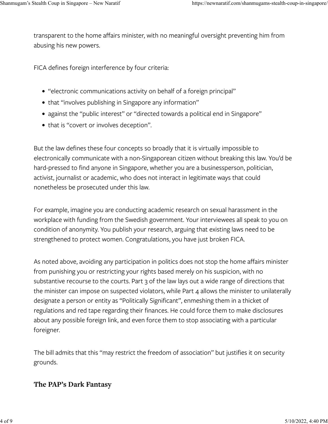transparent to the home affairs minister, with no meaningful oversight preventing him from abusing his new powers.

FICA defines foreign interference by four criteria:

- "electronic communications activity on behalf of a foreign principal"
- that "involves publishing in Singapore any information"
- against the "public interest" or "directed towards a political end in Singapore"
- that is "covert or involves deception".

But the law defines these four concepts so broadly that it is virtually impossible to electronically communicate with a non-Singaporean citizen without breaking this law. You'd be hard-pressed to find anyone in Singapore, whether you are a businessperson, politician, activist, journalist or academic, who does not interact in legitimate ways that could nonetheless be prosecuted under this law.

For example, imagine you are conducting academic research on sexual harassment in the workplace with funding from the Swedish government. Your interviewees all speak to you on condition of anonymity. You publish your research, arguing that existing laws need to be strengthened to protect women. Congratulations, you have just broken FICA.

As noted above, avoiding any participation in politics does not stop the home affairs minister from punishing you or restricting your rights based merely on his suspicion, with no substantive recourse to the courts. Part 3 of the law lays out a wide range of directions that the minister can impose on suspected violators, while Part 4 allows the minister to unilaterally designate a person or entity as "Politically Significant", enmeshing them in a thicket of regulations and red tape regarding their finances. He could force them to make disclosures about any possible foreign link, and even force them to stop associating with a particular foreigner.

The bill admits that this "may restrict the freedom of association" but justifies it on security grounds.

#### **The PAP's Dark Fantasy**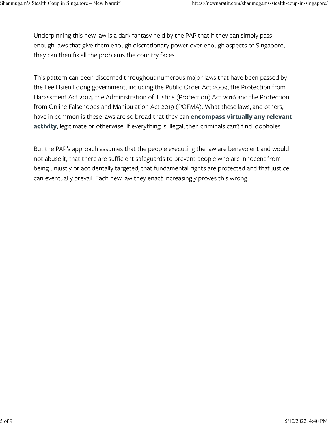Underpinning this new law is a dark fantasy held by the PAP that if they can simply pass enough laws that give them enough discretionary power over enough aspects of Singapore, they can then fix all the problems the country faces.

This pattern can been discerned throughout numerous major laws that have been passed by the Lee Hsien Loong government, including the Public Order Act 2009, the Protection from Harassment Act 2014, the Administration of Justice (Protection) Act 2016 and the Protection from Online Falsehoods and Manipulation Act 2019 (POFMA). What these laws, and others, have in common is these laws are so broad that they can **[encompass virtually any relevant](https://www.youtube.com/watch?v=nPfoQyutztk) [activity](https://www.youtube.com/watch?v=nPfoQyutztk)**, legitimate or otherwise. If everything is illegal, then criminals can't find loopholes.

But the PAP's approach assumes that the people executing the law are benevolent and would not abuse it, that there are sufficient safeguards to prevent people who are innocent from being unjustly or accidentally targeted, that fundamental rights are protected and that justice can eventually prevail. Each new law they enact increasingly proves this wrong.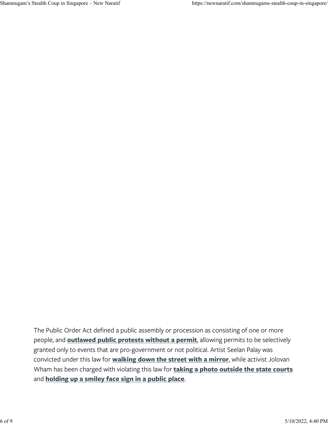The Public Order Act defined a public assembly or procession as consisting of one or more people, and **[outlawed public protests without a permit](https://monitor.civicus.org/updates/2018/07/26/singapore-public-order-act-used-restrict-or-criminalise-expression-and-peaceful-assembly/)**, allowing permits to be selectively granted only to events that are pro-government or not political. Artist Seelan Palay was convicted under this law for **[walking down the street with a mirror](https://sg.news.yahoo.com/activist-seelan-palay-fined-2500-taking-part-public-procession-092827846.html?guccounter=1)**, while activist Jolovan Wham has been charged with violating this law for **[taking a photo outside the state courts](https://www.channelnewsasia.com/singapore/jolovan-wham-charged-illegal-protests-state-courts-toa-payoh-562631)** and **[holding up a smiley face sign in a public place](https://www.nytimes.com/2020/11/23/world/asia/singapore-smiley-face-protest-charges.html)**.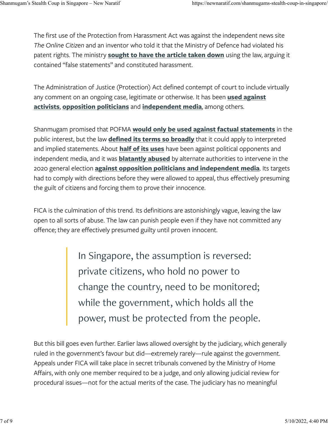The first use of the Protection from Harassment Act was against the independent news site *The Online Citizen* and an inventor who told it that the Ministry of Defence had violated his patent rights. The ministry **[sought to have the article taken down](https://web.archive.org/web/20170201062536/http://www.theonlinecitizen.com/2015/02/10/dr-ting-and-toc-respond-to-mindefs-charge-of-harassment/)** using the law, arguing it contained "false statements" and constituted harassment.

The Administration of Justice (Protection) Act defined contempt of court to include virtually any comment on an ongoing case, legitimate or otherwise. It has been **[used against](https://www.hrw.org/news/2018/05/16/singapore-drop-charges-criticizing-judiciary) [activists](https://www.hrw.org/news/2018/05/16/singapore-drop-charges-criticizing-judiciary)**, **[opposition politicians](https://www.channelnewsasia.com/singapore/court-reserves-judgment-contempt-of-court-jolovan-wham-sdp-894556)** and **[independent media](https://www.icj.org/singapore-joint-statement-calls-on-authorities-to-drop-investigations-under-abusive-contempt-of-court-law/)**, among others.

Shanmugam promised that POFMA **[would only be used against factual statements](https://www.channelnewsasia.com/singapore/proposed-law-falsehoods-has-clear-oversight-mechanism-prevent-abuse-government-says-shanmugam-885816?cid=youtube_cna_social_29012018_cna)** in the public interest, but the law **de�[ned its terms so broadly](https://newnaratif.com/singapores-fake-news-bill-the-faq/)** that it could apply to interpreted and implied statements. About **[half of its uses](https://pofmaed.com/explainer-what-is-pofma/)** have been against political opponents and independent media, and it was **[blatantly abused](https://thediplomat.com/2020/07/singapores-first-election-under-the-fake-news-law/)** by alternate authorities to intervene in the 2020 general election **[against opposition politicians and independent media](https://www.reuters.com/article/us-singapore-election-fakenews-idUSKBN2470NW)**. Its targets had to comply with directions before they were allowed to appeal, thus effectively presuming the guilt of citizens and forcing them to prove their innocence.

FICA is the culmination of this trend. Its definitions are astonishingly vague, leaving the law open to all sorts of abuse. The law can punish people even if they have not committed any offence; they are effectively presumed guilty until proven innocent.

> In Singapore, the assumption is reversed: private citizens, who hold no power to change the country, need to be monitored; while the government, which holds all the power, must be protected from the people.

But this bill goes even further. Earlier laws allowed oversight by the judiciary, which generally ruled in the government's favour but did—extremely rarely—rule against the government. Appeals under FICA will take place in secret tribunals convened by the Ministry of Home Affairs, with only one member required to be a judge, and only allowing judicial review for procedural issues—not for the actual merits of the case. The judiciary has no meaningful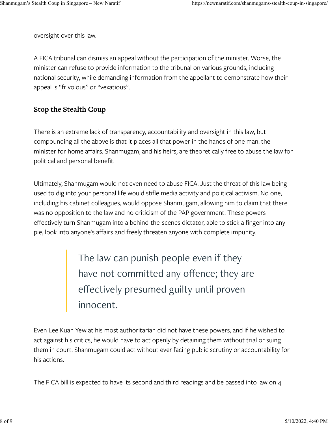oversight over this law.

A FICA tribunal can dismiss an appeal without the participation of the minister. Worse, the minister can refuse to provide information to the tribunal on various grounds, including national security, while demanding information from the appellant to demonstrate how their appeal is "frivolous" or "vexatious".

#### **Stop the Stealth Coup**

There is an extreme lack of transparency, accountability and oversight in this law, but compounding all the above is that it places all that power in the hands of one man: the minister for home affairs. Shanmugam, and his heirs, are theoretically free to abuse the law for political and personal benefit.

Ultimately, Shanmugam would not even need to abuse FICA. Just the threat of this law being used to dig into your personal life would stifle media activity and political activism. No one, including his cabinet colleagues, would oppose Shanmugam, allowing him to claim that there was no opposition to the law and no criticism of the PAP government. These powers effectively turn Shanmugam into a behind-the-scenes dictator, able to stick a finger into any pie, look into anyone's affairs and freely threaten anyone with complete impunity.

> The law can punish people even if they have not committed any offence; they are effectively presumed guilty until proven innocent.

Even Lee Kuan Yew at his most authoritarian did not have these powers, and if he wished to act against his critics, he would have to act openly by detaining them without trial or suing them in court. Shanmugam could act without ever facing public scrutiny or accountability for his actions.

The FICA bill is expected to have its second and third readings and be passed into law on 4